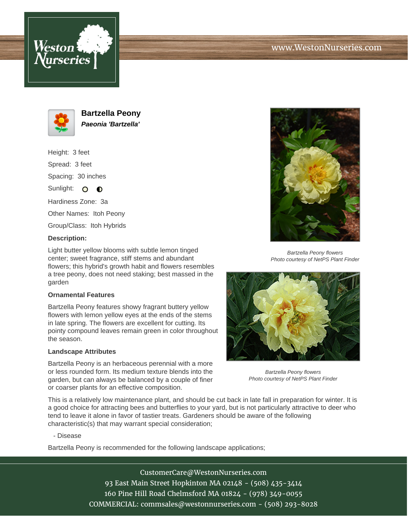





**Bartzella Peony Paeonia 'Bartzella'**

Height: 3 feet Spread: 3 feet Spacing: 30 inches Sunlight:  $\Omega$  $\bullet$ 

Hardiness Zone: 3a

Other Names: Itoh Peony

Group/Class: Itoh Hybrids

## **Description:**

Light butter yellow blooms with subtle lemon tinged center; sweet fragrance, stiff stems and abundant flowers; this hybrid's growth habit and flowers resembles a tree peony, does not need staking; best massed in the garden

## **Ornamental Features**

Bartzella Peony features showy fragrant buttery yellow flowers with lemon yellow eyes at the ends of the stems in late spring. The flowers are excellent for cutting. Its pointy compound leaves remain green in color throughout the season.

## **Landscape Attributes**

Bartzella Peony is an herbaceous perennial with a more or less rounded form. Its medium texture blends into the garden, but can always be balanced by a couple of finer or coarser plants for an effective composition.



Bartzella Peony flowers Photo courtesy of NetPS Plant Finder



Bartzella Peony flowers Photo courtesy of NetPS Plant Finder

This is a relatively low maintenance plant, and should be cut back in late fall in preparation for winter. It is a good choice for attracting bees and butterflies to your yard, but is not particularly attractive to deer who tend to leave it alone in favor of tastier treats. Gardeners should be aware of the following characteristic(s) that may warrant special consideration;

- Disease

Bartzella Peony is recommended for the following landscape applications;

CustomerCare@WestonNurseries.com 93 East Main Street Hopkinton MA 02148 - (508) 435-3414 160 Pine Hill Road Chelmsford MA 01824 - (978) 349-0055 COMMERCIAL: commsales@westonnurseries.com - (508) 293-8028